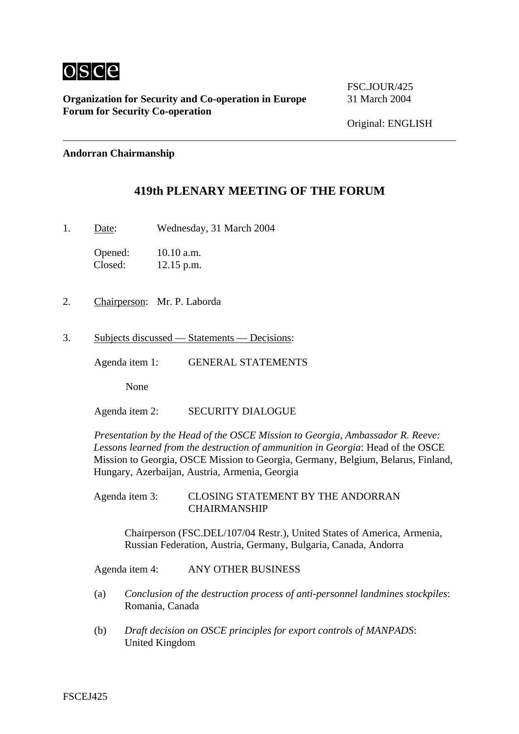

**Organization for Security and Co-operation in Europe** 31 March 2004 **Forum for Security Co-operation**

FSC.JOUR/425

Original: ENGLISH

## **Andorran Chairmanship**

## **419th PLENARY MEETING OF THE FORUM**

1. Date: Wednesday, 31 March 2004

Opened: 10.10 a.m. Closed: 12.15 p.m.

- 2. Chairperson: Mr. P. Laborda
- 3. Subjects discussed Statements Decisions:

Agenda item 1: GENERAL STATEMENTS

None

Agenda item 2: SECURITY DIALOGUE

*Presentation by the Head of the OSCE Mission to Georgia, Ambassador R. Reeve: Lessons learned from the destruction of ammunition in Georgia*: Head of the OSCE Mission to Georgia, OSCE Mission to Georgia, Germany, Belgium, Belarus, Finland, Hungary, Azerbaijan, Austria, Armenia, Georgia

Agenda item 3: CLOSING STATEMENT BY THE ANDORRAN CHAIRMANSHIP

Chairperson (FSC.DEL/107/04 Restr.), United States of America, Armenia, Russian Federation, Austria, Germany, Bulgaria, Canada, Andorra

Agenda item 4: ANY OTHER BUSINESS

- (a) *Conclusion of the destruction process of anti-personnel landmines stockpiles*: Romania, Canada
- (b) *Draft decision on OSCE principles for export controls of MANPADS*: United Kingdom